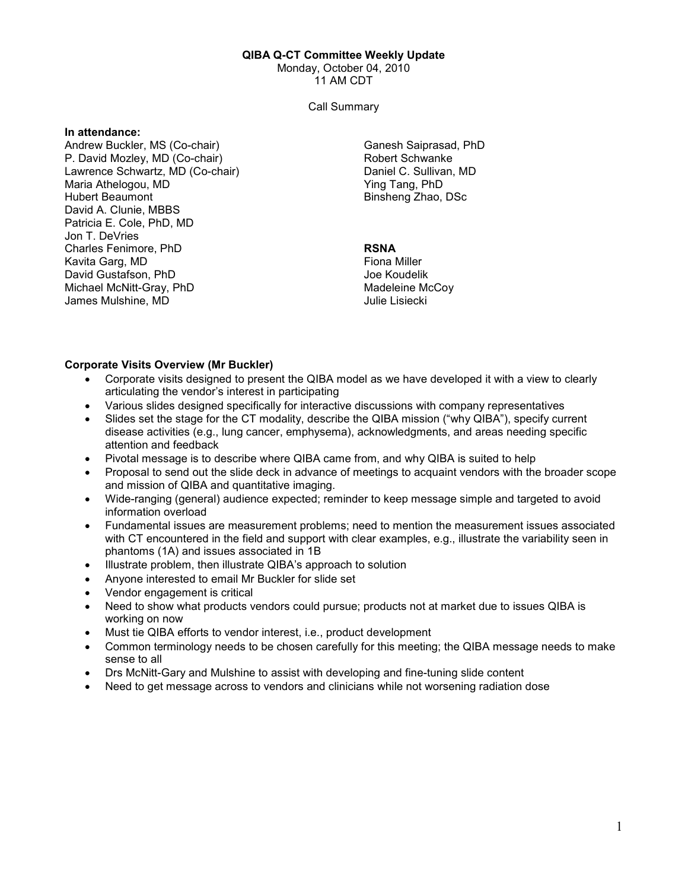#### QIBA Q-CT Committee Weekly Update

Monday, October 04, 2010

11 AM CDT

Call Summary

#### In attendance:

Andrew Buckler, MS (Co-chair) P. David Mozley, MD (Co-chair) Lawrence Schwartz, MD (Co-chair) Maria Athelogou, MD Hubert Beaumont David A. Clunie, MBBS Patricia E. Cole, PhD, MD Jon T. DeVries Charles Fenimore, PhD Kavita Garg, MD David Gustafson, PhD Michael McNitt-Gray, PhD James Mulshine, MD

Ganesh Saiprasad, PhD Robert Schwanke Daniel C. Sullivan, MD Ying Tang, PhD Binsheng Zhao, DSc

## RSNA

Fiona Miller Joe Koudelik Madeleine McCoy Julie Lisiecki

## Corporate Visits Overview (Mr Buckler)

- Corporate visits designed to present the QIBA model as we have developed it with a view to clearly articulating the vendor's interest in participating
- Various slides designed specifically for interactive discussions with company representatives
- Slides set the stage for the CT modality, describe the QIBA mission ("why QIBA"), specify current disease activities (e.g., lung cancer, emphysema), acknowledgments, and areas needing specific attention and feedback
- Pivotal message is to describe where QIBA came from, and why QIBA is suited to help
- Proposal to send out the slide deck in advance of meetings to acquaint vendors with the broader scope and mission of QIBA and quantitative imaging.
- Wide-ranging (general) audience expected; reminder to keep message simple and targeted to avoid information overload
- Fundamental issues are measurement problems; need to mention the measurement issues associated with CT encountered in the field and support with clear examples, e.g., illustrate the variability seen in phantoms (1A) and issues associated in 1B
- Illustrate problem, then illustrate QIBA's approach to solution
- Anyone interested to email Mr Buckler for slide set
- Vendor engagement is critical
- Need to show what products vendors could pursue; products not at market due to issues QIBA is working on now
- Must tie QIBA efforts to vendor interest, i.e., product development
- Common terminology needs to be chosen carefully for this meeting; the QIBA message needs to make sense to all
- Drs McNitt-Gary and Mulshine to assist with developing and fine-tuning slide content
- Need to get message across to vendors and clinicians while not worsening radiation dose